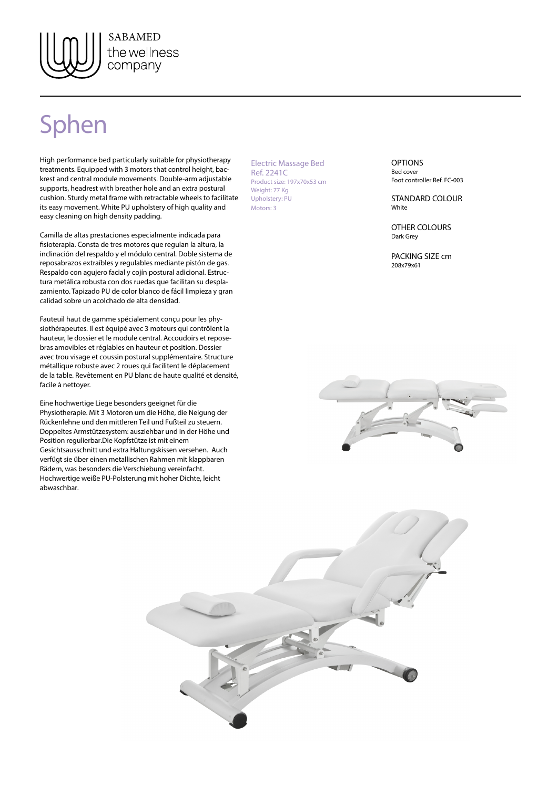

## Sphen

High performance bed particularly suitable for physiotherapy treatments. Equipped with 3 motors that control height, backrest and central module movements. Double-arm adjustable supports, headrest with breather hole and an extra postural cushion. Sturdy metal frame with retractable wheels to facilitate its easy movement. White PU upholstery of high quality and easy cleaning on high density padding.

Camilla de altas prestaciones especialmente indicada para fisioterapia. Consta de tres motores que regulan la altura, la inclinación del respaldo y el módulo central. Doble sistema de reposabrazos extraíbles y regulables mediante pistón de gas. Respaldo con agujero facial y cojín postural adicional. Estructura metálica robusta con dos ruedas que facilitan su desplazamiento. Tapizado PU de color blanco de fácil limpieza y gran calidad sobre un acolchado de alta densidad.

Fauteuil haut de gamme spécialement conçu pour les physiothérapeutes. Il est équipé avec 3 moteurs qui contrôlent la hauteur, le dossier et le module central. Accoudoirs et reposebras amovibles et réglables en hauteur et position. Dossier avec trou visage et coussin postural supplémentaire. Structure métallique robuste avec 2 roues qui facilitent le déplacement de la table. Revêtement en PU blanc de haute qualité et densité, facile à nettoyer.

Eine hochwertige Liege besonders geeignet für die Physiotherapie. Mit 3 Motoren um die Höhe, die Neigung der Rückenlehne und den mittleren Teil und Fußteil zu steuern. Doppeltes Armstützesystem: ausziehbar und in der Höhe und Position regulierbar.Die Kopfstütze ist mit einem Gesichtsausschnitt und extra Haltungskissen versehen. Auch verfügt sie über einen metallischen Rahmen mit klappbaren Rädern, was besonders die Verschiebung vereinfacht. Hochwertige weiße PU-Polsterung mit hoher Dichte, leicht abwaschbar.

Electric Massage Bed Ref. 2241C Product size: 197x70x53 cm Weight: 77 Kg Upholstery: PU Motors: 3

**OPTIONS** Bed cover Foot controller Ref. FC-003

STANDARD COLOUR White

OTHER COLOURS Dark Grey

PACKING SIZE cm 208x79x61



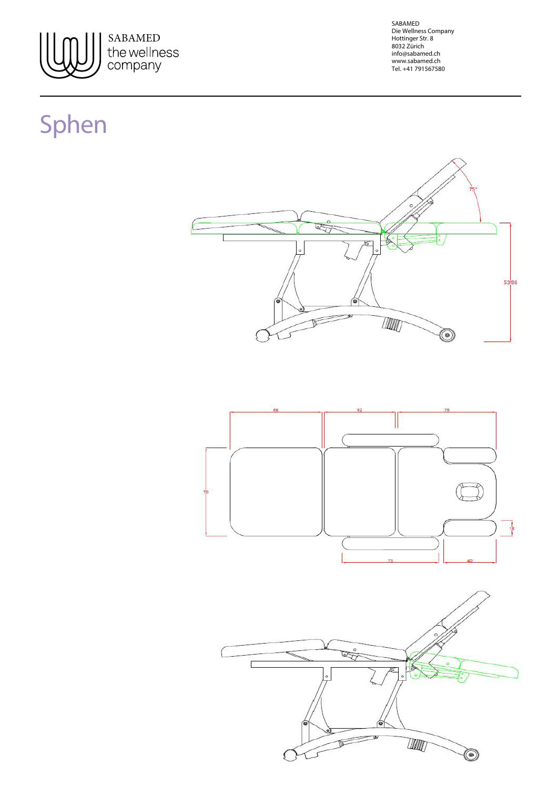

SABAMED Die Wellness Company Hottinger Str. 8 8032 Zürich info@sabamed.ch www.sabamed.ch Tel. +41 791567580

## Sphen